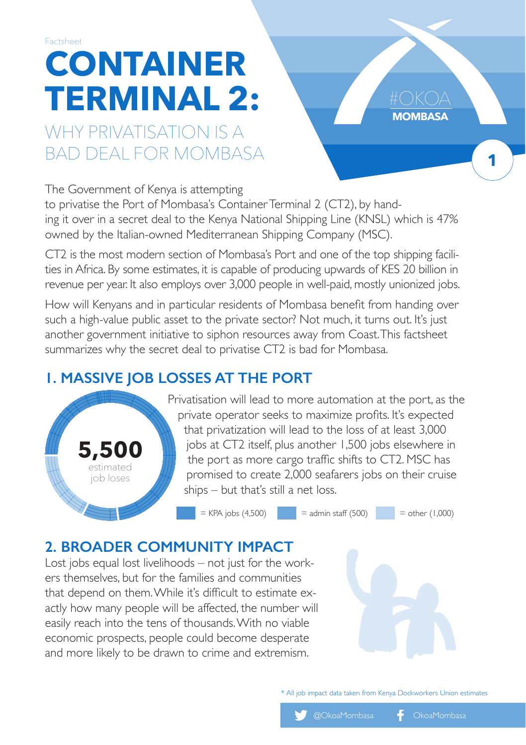# **CONTAINER TERMINAL 2:** Factsheet

## WHY PRIVATISATION IS A BAD DEAL FOR MOMBASA

The Government of Kenya is attempting

to privatise the Port of Mombasa's Container Terminal 2 (CT2), by handing it over in a secret deal to the Kenya National Shipping Line (KNSL) which is 47% owned by the Italian-owned Mediterranean Shipping Company (MSC).

CT2 is the most modern section of Mombasa's Port and one of the top shipping facilities in Africa. By some estimates, it is capable of producing upwards of KES 20 billion in revenue per year. It also employs over 3,000 people in well-paid, mostly unionized jobs.

How will Kenyans and in particular residents of Mombasa benefit from handing over such a high-value public asset to the private sector? Not much, it turns out. It's just another government initiative to siphon resources away from Coast. This factsheet summarizes why the secret deal to privatise CT2 is bad for Mombasa.

#### **1. MASSIVE JOB LOSSES AT THE PORT**



Privatisation will lead to more automation at the port, as the private operator seeks to maximize profits. It's expected that privatization will lead to the loss of at least 3,000 jobs at CT2 itself, plus another 1,500 jobs elsewhere in the port as more cargo traffic shifts to CT2. MSC has promised to create 2,000 seafarers jobs on their cruise ships – but that's still a net loss.

 $=$  KPA jobs (4,500)  $=$  admin staff (500)  $=$  other (1,000)

**MOMBASA**

**1**

### **2. BROADER COMMUNITY IMPACT**

Lost jobs equal lost livelihoods – not just for the workers themselves, but for the families and communities that depend on them. While it's difficult to estimate exactly how many people will be affected, the number will easily reach into the tens of thousands. With no viable economic prospects, people could become desperate and more likely to be drawn to crime and extremism.

\* All job impact data taken from Kenya Dockworkers Union estimates